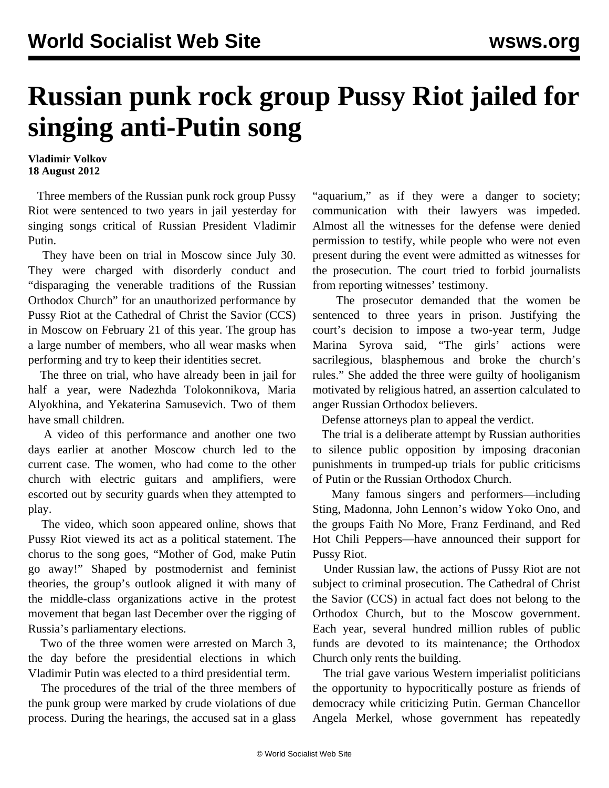## **Russian punk rock group Pussy Riot jailed for singing anti-Putin song**

**Vladimir Volkov 18 August 2012**

 Three members of the Russian punk rock group Pussy Riot were sentenced to two years in jail yesterday for singing songs critical of Russian President Vladimir Putin.

 They have been on trial in Moscow since July 30. They were charged with disorderly conduct and "disparaging the venerable traditions of the Russian Orthodox Church" for an unauthorized performance by Pussy Riot at the Cathedral of Christ the Savior (CCS) in Moscow on February 21 of this year. The group has a large number of members, who all wear masks when performing and try to keep their identities secret.

 The three on trial, who have already been in jail for half a year, were Nadezhda Tolokonnikova, Maria Alyokhina, and Yekaterina Samusevich. Two of them have small children.

 A video of this performance and another one two days earlier at another Moscow church led to the current case. The women, who had come to the other church with electric guitars and amplifiers, were escorted out by security guards when they attempted to play.

 The video, which soon appeared online, shows that Pussy Riot viewed its act as a political statement. The chorus to the song goes, "Mother of God, make Putin go away!" Shaped by postmodernist and feminist theories, the group's outlook aligned it with many of the middle-class organizations active in the protest movement that began last December over the rigging of Russia's parliamentary elections.

 Two of the three women were arrested on March 3, the day before the presidential elections in which Vladimir Putin was elected to a third presidential term.

 The procedures of the trial of the three members of the punk group were marked by crude violations of due process. During the hearings, the accused sat in a glass

"aquarium," as if they were a danger to society; communication with their lawyers was impeded. Almost all the witnesses for the defense were denied permission to testify, while people who were not even present during the event were admitted as witnesses for the prosecution. The court tried to forbid journalists from reporting witnesses' testimony.

 The prosecutor demanded that the women be sentenced to three years in prison. Justifying the court's decision to impose a two-year term, Judge Marina Syrova said, "The girls' actions were sacrilegious, blasphemous and broke the church's rules." She added the three were guilty of hooliganism motivated by religious hatred, an assertion calculated to anger Russian Orthodox believers.

Defense attorneys plan to appeal the verdict.

 The trial is a deliberate attempt by Russian authorities to silence public opposition by imposing draconian punishments in trumped-up trials for public criticisms of Putin or the Russian Orthodox Church.

 Many famous singers and performers—including Sting, Madonna, John Lennon's widow Yoko Ono, and the groups Faith No More, Franz Ferdinand, and Red Hot Chili Peppers—have announced their support for Pussy Riot.

 Under Russian law, the actions of Pussy Riot are not subject to criminal prosecution. The Cathedral of Christ the Savior (CCS) in actual fact does not belong to the Orthodox Church, but to the Moscow government. Each year, several hundred million rubles of public funds are devoted to its maintenance; the Orthodox Church only rents the building.

 The trial gave various Western imperialist politicians the opportunity to hypocritically posture as friends of democracy while criticizing Putin. German Chancellor Angela Merkel, whose government has repeatedly